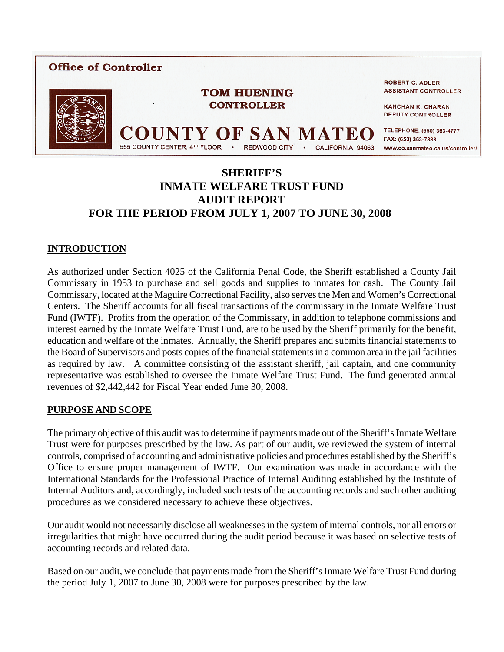

## **SHERIFF'S INMATE WELFARE TRUST FUND AUDIT REPORT FOR THE PERIOD FROM JULY 1, 2007 TO JUNE 30, 2008**

## **INTRODUCTION**

As authorized under Section 4025 of the California Penal Code, the Sheriff established a County Jail Commissary in 1953 to purchase and sell goods and supplies to inmates for cash. The County Jail Commissary, located at the Maguire Correctional Facility, also serves the Men and Women's Correctional Centers. The Sheriff accounts for all fiscal transactions of the commissary in the Inmate Welfare Trust Fund (IWTF). Profits from the operation of the Commissary, in addition to telephone commissions and interest earned by the Inmate Welfare Trust Fund, are to be used by the Sheriff primarily for the benefit, education and welfare of the inmates. Annually, the Sheriff prepares and submits financial statements to the Board of Supervisors and posts copies of the financial statements in a common area in the jail facilities as required by law. A committee consisting of the assistant sheriff, jail captain, and one community representative was established to oversee the Inmate Welfare Trust Fund. The fund generated annual revenues of \$2,442,442 for Fiscal Year ended June 30, 2008.

## **PURPOSE AND SCOPE**

The primary objective of this audit was to determine if payments made out of the Sheriff's Inmate Welfare Trust were for purposes prescribed by the law. As part of our audit, we reviewed the system of internal controls, comprised of accounting and administrative policies and procedures established by the Sheriff's Office to ensure proper management of IWTF. Our examination was made in accordance with the International Standards for the Professional Practice of Internal Auditing established by the Institute of Internal Auditors and, accordingly, included such tests of the accounting records and such other auditing procedures as we considered necessary to achieve these objectives.

Our audit would not necessarily disclose all weaknesses in the system of internal controls, nor all errors or irregularities that might have occurred during the audit period because it was based on selective tests of accounting records and related data.

Based on our audit, we conclude that payments made from the Sheriff's Inmate Welfare Trust Fund during the period July 1, 2007 to June 30, 2008 were for purposes prescribed by the law.